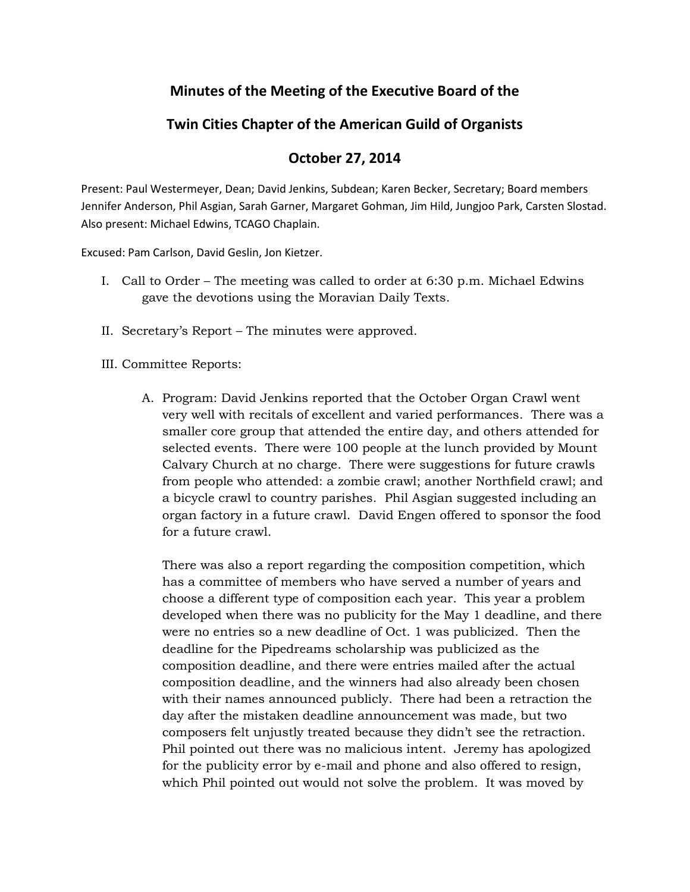## **Minutes of the Meeting of the Executive Board of the**

## **Twin Cities Chapter of the American Guild of Organists**

## **October 27, 2014**

Present: Paul Westermeyer, Dean; David Jenkins, Subdean; Karen Becker, Secretary; Board members Jennifer Anderson, Phil Asgian, Sarah Garner, Margaret Gohman, Jim Hild, Jungjoo Park, Carsten Slostad. Also present: Michael Edwins, TCAGO Chaplain.

Excused: Pam Carlson, David Geslin, Jon Kietzer.

- I. Call to Order The meeting was called to order at 6:30 p.m. Michael Edwins gave the devotions using the Moravian Daily Texts.
- II. Secretary's Report The minutes were approved.
- III. Committee Reports:
	- A. Program: David Jenkins reported that the October Organ Crawl went very well with recitals of excellent and varied performances. There was a smaller core group that attended the entire day, and others attended for selected events. There were 100 people at the lunch provided by Mount Calvary Church at no charge. There were suggestions for future crawls from people who attended: a zombie crawl; another Northfield crawl; and a bicycle crawl to country parishes. Phil Asgian suggested including an organ factory in a future crawl. David Engen offered to sponsor the food for a future crawl.

There was also a report regarding the composition competition, which has a committee of members who have served a number of years and choose a different type of composition each year. This year a problem developed when there was no publicity for the May 1 deadline, and there were no entries so a new deadline of Oct. 1 was publicized. Then the deadline for the Pipedreams scholarship was publicized as the composition deadline, and there were entries mailed after the actual composition deadline, and the winners had also already been chosen with their names announced publicly. There had been a retraction the day after the mistaken deadline announcement was made, but two composers felt unjustly treated because they didn't see the retraction. Phil pointed out there was no malicious intent. Jeremy has apologized for the publicity error by e-mail and phone and also offered to resign, which Phil pointed out would not solve the problem. It was moved by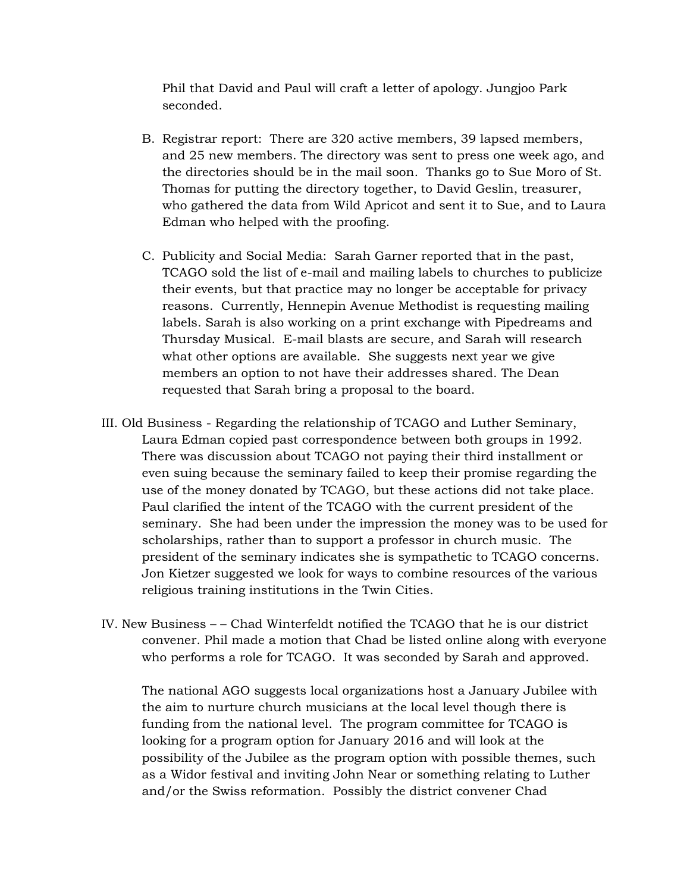Phil that David and Paul will craft a letter of apology. Jungjoo Park seconded.

- B. Registrar report: There are 320 active members, 39 lapsed members, and 25 new members. The directory was sent to press one week ago, and the directories should be in the mail soon. Thanks go to Sue Moro of St. Thomas for putting the directory together, to David Geslin, treasurer, who gathered the data from Wild Apricot and sent it to Sue, and to Laura Edman who helped with the proofing.
- C. Publicity and Social Media: Sarah Garner reported that in the past, TCAGO sold the list of e-mail and mailing labels to churches to publicize their events, but that practice may no longer be acceptable for privacy reasons. Currently, Hennepin Avenue Methodist is requesting mailing labels. Sarah is also working on a print exchange with Pipedreams and Thursday Musical. E-mail blasts are secure, and Sarah will research what other options are available. She suggests next year we give members an option to not have their addresses shared. The Dean requested that Sarah bring a proposal to the board.
- III. Old Business Regarding the relationship of TCAGO and Luther Seminary, Laura Edman copied past correspondence between both groups in 1992. There was discussion about TCAGO not paying their third installment or even suing because the seminary failed to keep their promise regarding the use of the money donated by TCAGO, but these actions did not take place. Paul clarified the intent of the TCAGO with the current president of the seminary. She had been under the impression the money was to be used for scholarships, rather than to support a professor in church music. The president of the seminary indicates she is sympathetic to TCAGO concerns. Jon Kietzer suggested we look for ways to combine resources of the various religious training institutions in the Twin Cities.
- IV. New Business – Chad Winterfeldt notified the TCAGO that he is our district convener. Phil made a motion that Chad be listed online along with everyone who performs a role for TCAGO. It was seconded by Sarah and approved.

The national AGO suggests local organizations host a January Jubilee with the aim to nurture church musicians at the local level though there is funding from the national level. The program committee for TCAGO is looking for a program option for January 2016 and will look at the possibility of the Jubilee as the program option with possible themes, such as a Widor festival and inviting John Near or something relating to Luther and/or the Swiss reformation. Possibly the district convener Chad